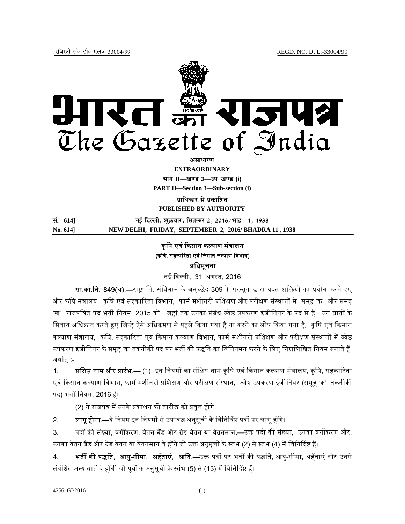

**EXTRAORDINARY Hkkx II—[k.M 3—mi&[k.M (i)**

**PART II—Section 3—Sub-section (i)** 

**पाधिकार से प्रकाशित** 

**PUBLISHED BY AUTHORITY**

**la- 614] ubZ fnYyh] 'kqØokj] flrEcj 2] 2016@Hkkn z 11] 1938 No. 614] NEW DELHI, FRIDAY, SEPTEMBER 2, 2016/ BHADRA 11 , 1938**

# कृषि एवं किसान कल्याण मंत्रालय (कृषि, सहकारिता एवं किसान कल्याण विभाग) अधिसूचना

नई ᳰद᭨ली, 31 अग᭭त, 2016

सा.का.नि. 849(अ).—राष्ट्रपति, संविधान के अनुच्छेद 309 के परन्तुक द्वारा प्रदत शक्तियों का प्रयोग करते हुए और कृषि मंत्रालय, कृषि एवं सहकारिता विभाग, फार्म मशीनरी प्रशिक्षण और परीक्षण संस्थानों में समूह 'क' और समूह 'ख' राजपत्रित पद भर्ती नियम, 2015 को, जहां तक उनका संबंध ज्येष्ठ उपकरण इंजीनियर के पद से है, उन बातों के सिवाय अधिक्रांत करते हए जिन्हें ऐसे अधिक्रमण से पहले किया गया है या करने का लोप किया गया है. कृषि एवं किसान कल्याण मंत्रालय, कृषि, सहकारिता एवं किसान कल्याण विभाग, फार्म मशीनरी प्रशिक्षण और परीक्षण संस्थानों में ज्येष्ठ उपकरण इंजीनियर के समूह 'क' तकनीकी पद पर भर्ती की पद्धति का विनियमन करने के लिए निम्नलिखित नियम बनाते हैं, अर्थात् :-

1. सं**क्षिप्त नाम और प्रारंभ.—** (1) इन नियमों का संक्षिप्त नाम कृषि एवं किसान कल्याण मंत्रालय, कृषि, सहकारिता एवं किसान कल्याण विभाग, फार्म मशीनरी प्रशिक्षण और परीक्षण संस्थान, ज्येष्ठ उपकरण इंजीनियर (समूह 'क' तकनीकी पद) भर्ती नियम, 2016 है।

(2) ये राजपत्र में उनके प्रकाशन की तारीख को प्रवृत्त होंगे।

2. लागू होना.—ये नियम इन नियमों से उपाबद्ध अनुसूची के विनिर्दिष्ट पदों पर लागू होंगे।

3. पदों की संख्या, वर्गीकरण, वेतन बैंड और ग्रेड वेतन या वेतनमान.—उक्त पदों की संख्या, उनका वर्गीकरण और, उनका वेतन बैंड और ग्रेड वेतन या वेतनमान वे होंगे जो उक्त अनुसूची के स्तंभ (2) से स्तंभ (4) में विनिर्दिष्ट हैं।

4. भर्ती की पद्धति, आयु-सीमा, अर्हताएं, आदि.—उक्त पदों पर भर्ती की पद्धति, आयु-सीमा, अर्हताएं और उनसे संबंधित अन्य बातें वे होंगी जो पूर्वोक्त अनुसूची के स्तंभ (5) से (13) में विनिर्दिष्ट हैं।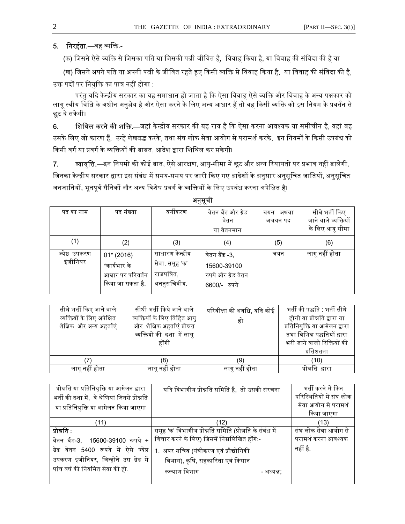# 5. निरर्हता.—वह व्यक्ति -

(क) जिसने ऐसे व्यक्ति से जिसका पति या जिसकी पत्नी जीवित है, विवाह किया है, या विवाह की संविदा की है या

(ख) जिसने अपने पति या अपनी पत्नी के जीवित रहते हुए किसी व्यक्ति से विवाह किया है, या विवाह की संविदा की है, उक्त पदों पर नियुक्ति का पात्र नहीं होगा :

परंतु यदि केन्द्रीय सरकार का यह समाधान हो जाता है कि ऐसा विवाह ऐसे व्यक्ति और विवाह के अन्य पक्षकार को लागू स्वीय विधि के अधीन अनुज्ञेय है और ऐसा करने के लिए अन्य आधार हैं तो वह किसी व्यक्ति को इस नियम के प्रवर्तन से छूट दे सके गी।

**6. शिथिल करने की शक्ति.—**जहां केन्द्रीय सरकार की यह राय है कि ऐसा करना आवश्यक या समीचीन है, वहां वह उसके लिए जो कारण हैं, उन्हें लेखबद्ध करके, तथा संघ लोक सेवा आयोग से परामर्श करके, इन नियमों के किसी उपबंध को किसी वर्ग या प्रवर्ग के व्यक्तियों की बाबत, आदेश द्वारा शिथिल कर सकेगी।

7. ब्यावृत्ति.—इन नियमों की कोई बात, ऐसे आरक्षण, आयु-सीमा में छूट और अन्य रियायतों पर प्रभाव नहीं डालेगी, जिनका केन्द्रीय सरकार द्वारा इस संबंध में समय-समय पर जारी किए गए आदेशों के अनुसार अनुसूचित जातियों, अनुसूचित जनजातियों, भूतपूर्व सैनिकों और अन्य विशेष प्रवर्ग के व्यक्तियों के लिए उपबंध करना अपेक्षित है।

| .             |                  |                  |                     |          |                      |
|---------------|------------------|------------------|---------------------|----------|----------------------|
| पद का नाम     | पद संख्या        | वर्गीकरण         | वेतन बैंड और ग्रेड  | चयन अथवा | सीधे भर्ती किए       |
|               |                  |                  | वेतन                | अचयन पद  | जाने वाले व्यक्तियों |
|               |                  |                  | या वेतनमान          |          | के लिए आयु सीमा      |
| (1)           | (2)              | (3)              | (4)                 | (5)      | (6)                  |
| ज्येष्ठ उपकरण | $01*(2016)$      | साधारण केन्द्रीय | वेतन बैंड -3,       | चयन      | लागू नहीं होता       |
| इंजीनियर      | *कार्यभार के     | सेवा, समूह 'क'   | 15600-39100         |          |                      |
|               | आधार पर परिवर्तन | राजपत्रित,       | रुपये और ग्रेड वेतन |          |                      |
|               | किया जा सकता है. | अननुसचिवीय.      | 6600/- रुपये        |          |                      |
|               |                  |                  |                     |          |                      |

अनसची

| सीधे भर्ती किए जाने वाले<br>व्यक्तियों के लिए अपेक्षित<br>शैक्षिक और अन्य अहर्ताएं | सीधी भर्ती किये जाने वाले<br>व्यक्तियों के लिए विहित आयु<br>और शैक्षिक अहर्ताएं प्रोन्नत<br>व्यक्तियों की दशा में लागू<br>होंगी | परिवीक्षा की अवधि, यदि कोई<br>हो | भर्ती की पद्धति : भर्ती सीधे<br>होगी या प्रोन्नति द्वारा या<br>प्रतिनियुक्ति या आमेलन द्वारा<br>तथा विभिन्न पद्धतियों द्वारा<br>भरी जाने वाली रिक्तियों की<br>प्रतिशतता |
|------------------------------------------------------------------------------------|---------------------------------------------------------------------------------------------------------------------------------|----------------------------------|-------------------------------------------------------------------------------------------------------------------------------------------------------------------------|
|                                                                                    | (8)                                                                                                                             | (9)                              | (10)                                                                                                                                                                    |
| लागू नहीं होता                                                                     | लागू नहीं होता                                                                                                                  | लागू नहीं होता                   | प्रोन्नति द्वारा                                                                                                                                                        |

| प्रोन्नति या प्रतिनियुक्ति या आमेलन द्वारा      | यदि विभागीय प्रोन्नति समिति है, तो उसकी संरचना           | भर्ती करने में किन       |
|-------------------------------------------------|----------------------------------------------------------|--------------------------|
| भर्ती की दशा में,  वे श्रेणियां जिनसे प्रोन्नति |                                                          | परिस्थितियों में संघ लोक |
| या प्रतिनियुक्ति या आमेलन किया जाएगा            |                                                          | सेवा आयोग से परामर्श     |
|                                                 |                                                          | किया जाएगा               |
| (11)                                            | (12)                                                     | (13)                     |
| प्रोन्नति :                                     | समूह 'क' विभागीय प्रोन्नति समिति (प्रोन्नति के संबंध में | संघ लोक सेवा आयोग से     |
| वेतन बैंड-3, 15600-39100 रूपये +                | विचार करने के लिए) जिसमें निम्नलिखित होंगे:-             | परामर्श करना आवश्यक      |
| ग्रेड वेतन 5400 रूपये में ऐसे ज्येष्ठ           | 1. अपर सचिव (यंत्रीकरण एवं प्रौद्योगिकी                  | नहीं है.                 |
| उपकरण इंजीनियर, जिन्होंने उस ग्रेड में          | विभाग), कृषि, सहकारिता एवं किसान                         |                          |
| पांच वर्ष की नियमित सेवा की हो.                 | कल्याण विभाग<br>- अध्यक्ष:                               |                          |
|                                                 |                                                          |                          |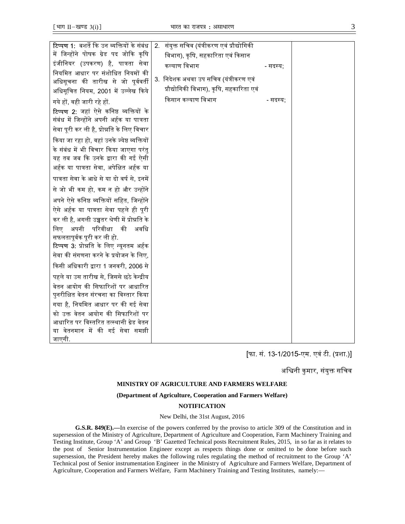| <b>टिप्पण 1:</b> बशर्ते कि उन व्यक्तियों के संबंध | संयुक्त सचिव (यंत्रीकरण एवं प्रौद्योगिकी<br>2. |          |  |
|---------------------------------------------------|------------------------------------------------|----------|--|
| में जिन्होंने पोषक ग्रेड पद जोकि कृषि             | विभाग), कृषि, सहकारिता एवं किसान               |          |  |
| इंजीनियर (उपकरण) है, पात्रता सेवा                 | कल्याण विभाग                                   | - सदस्य: |  |
| नियमित आधार पर संशोधित नियमों की                  |                                                |          |  |
| अधिसूचना की तारीख से जो पूर्ववर्ती                | 3. निदेशक अथवा उप सचिव (यंत्रीकरण एवं          |          |  |
| अधिसूचित नियम, 2001 में उल्लेख किये               | प्रौद्योगिकी विभाग), कृषि, सहकारिता एवं        |          |  |
| गये हों, वही जारी रहे हों.                        | किसान कल्याण विभाग                             | - सदस्य; |  |
| <b>टिप्पण 2:</b> जहां ऐसे कनिष्ठ व्यक्तियों के    |                                                |          |  |
| संबंध में जिन्होंने अपनी अर्हक या पात्रता         |                                                |          |  |
| सेवा पूरी कर ली है, प्रोन्नति के लिए विचार        |                                                |          |  |
| किया जा रहा हो, वहां उनके ज्येष्ठ व्यक्तियों      |                                                |          |  |
| के संबंध में भी विचार किया जाएगा परंतु            |                                                |          |  |
| यह तब जब कि उनके द्वारा की गई ऐसी                 |                                                |          |  |
| अर्हक या पात्रता सेवा, अपेक्षित अर्हक या          |                                                |          |  |
| पात्रता सेवा के आधे से या दो वर्ष से, इनमें       |                                                |          |  |
| से जो भी कम हो, कम न हो और उन्होंने               |                                                |          |  |
| अपने ऐसे कनिष्ठ व्यक्तियों सहित, जिन्होंने        |                                                |          |  |
| ऐसे अर्हक या पात्रता सेवा पहले ही पूरी            |                                                |          |  |
| कर ली है, अगली उच्चतर श्रेणी में प्रोन्नति के     |                                                |          |  |
| अपनी परिवीक्षा<br>की<br>अवधि<br>लिए               |                                                |          |  |
| सफलतापूर्वक पूरी कर ली हो.                        |                                                |          |  |
| <b>टिप्पण 3:</b> प्रोन्नति के लिए न्यूनतम अर्हक   |                                                |          |  |
| सेवा की संगणना करने के प्रयोजन के लिए,            |                                                |          |  |
| किसी अधिकारी द्वारा 1 जनवरी, 2006 से              |                                                |          |  |
| पहले या उस तारीख से, जिससे छठे केन्द्रीय          |                                                |          |  |
| वेतन आयोग की सिफारिशों पर आधारित                  |                                                |          |  |
| पुनरीक्षित वेतन संरचना का विस्तार किया            |                                                |          |  |
| गया है, नियमित आधार पर की गई सेवा                 |                                                |          |  |
| को उक्त वेतन आयोग की सिफारिशों पर                 |                                                |          |  |
| आधारित पर विस्तरित तत्स्थानी ग्रेड वेतन           |                                                |          |  |
| या वेतनमान में की गई सेवा समझी                    |                                                |          |  |
| जाएगी.                                            |                                                |          |  |

[फा. सं. 13-1/2015-एम. एवं टी. (ᮧशा.)]

अश्विनी कुमार, संयुक्त सचिव

## **MINISTRY OF AGRICULTURE AND FARMERS WELFARE**

#### **(Department of Agriculture, Cooperation and Farmers Welfare)**

### **NOTIFICATION**

### New Delhi, the 31st August, 2016

**G.S.R. 849(E).—**In exercise of the powers conferred by the proviso to article 309 of the Constitution and in supersession of the Ministry of Agriculture, Department of Agriculture and Cooperation, Farm Machinery Training and Testing Institute, Group 'A' and Group 'B' Gazetted Technical posts Recruitment Rules, 2015, in so far as it relates to the post of Senior Instrumentation Engineer except as respects things done or omitted to be done before such supersession, the President hereby makes the following rules regulating the method of recruitment to the Group 'A' Technical post of Senior instrumentation Engineer in the Ministry of Agriculture and Farmers Welfare, Department of Agriculture, Cooperation and Farmers Welfare, Farm Machinery Training and Testing Institutes, namely:—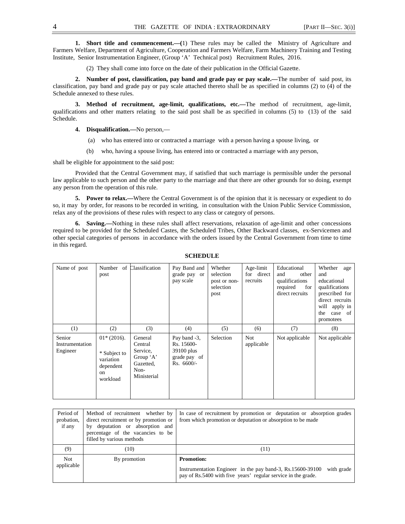**1. Short title and commencement.—(**1) These rules may be called the Ministry of Agriculture and Farmers Welfare, Department of Agriculture, Cooperation and Farmers Welfare, Farm Machinery Training and Testing Institute, Senior Instrumentation Engineer, (Group 'A' Technical post) Recruitment Rules, 2016.

(2) They shall come into force on the date of their publication in the Official Gazette.

**2. Number of post, classification, pay band and grade pay or pay scale.—**The number of said post, its classification, pay band and grade pay or pay scale attached thereto shall be as specified in columns (2) to (4) of the Schedule annexed to these rules.

**3. Method of recruitment, age-limit, qualifications, etc.—**The method of recruitment, age-limit, qualifications and other matters relating to the said post shall be as specified in columns (5) to (13) of the said Schedule.

**4. Disqualification.—**No person,—

- (a) who has entered into or contracted a marriage with a person having a spouse living, or
- (b) who, having a spouse living, has entered into or contracted a marriage with any person,

shall be eligible for appointment to the said post:

Provided that the Central Government may, if satisfied that such marriage is permissible under the personal law applicable to such person and the other party to the marriage and that there are other grounds for so doing, exempt any person from the operation of this rule.

**5. Power to relax.—Where the Central Government is of the opinion that it is necessary or expedient to do** so, it may by order, for reasons to be recorded in writing, in consultation with the Union Public Service Commission, relax any of the provisions of these rules with respect to any class or category of persons.

**6. Saving.—**Nothing in these rules shall affect reservations, relaxation of age-limit and other concessions required to be provided for the Scheduled Castes, the Scheduled Tribes, Other Backward classes, ex-Servicemen and other special categories of persons in accordance with the orders issued by the Central Government from time to time in this regard.

| Name of post                          | Number of<br>post                                                                    | Classification                                                                  | Pay Band and<br>grade pay or<br>pay scale                                | Whether<br>selection<br>post or non-<br>selection<br>post | Age-limit<br>for direct<br>recruits | Educational<br>and<br>other<br>qualifications<br>required<br>for<br>direct recruits | Whether<br>age<br>and<br>educational<br>qualifications<br>prescribed for<br>direct recruits<br>will apply in<br>case of<br>the<br>promotees |
|---------------------------------------|--------------------------------------------------------------------------------------|---------------------------------------------------------------------------------|--------------------------------------------------------------------------|-----------------------------------------------------------|-------------------------------------|-------------------------------------------------------------------------------------|---------------------------------------------------------------------------------------------------------------------------------------------|
| (1)                                   | (2)                                                                                  | (3)                                                                             | (4)                                                                      | (5)                                                       | (6)                                 | (7)                                                                                 | (8)                                                                                                                                         |
| Senior<br>Instrumentation<br>Engineer | $01*(2016)$ .<br>* Subject to<br>variation<br>dependent<br><sub>on</sub><br>workload | General<br>Central<br>Service,<br>Group 'A'<br>Gazetted,<br>Non-<br>Ministerial | Pay band -3,<br>Rs. 15600-<br>39100 plus<br>grade pay of<br>$Rs. 6600/-$ | Selection                                                 | Not<br>applicable                   | Not applicable                                                                      | Not applicable                                                                                                                              |

## **SCHEDULE**

| Period of<br>probation,<br>if any | Method of recruitment whether by<br>direct recruitment or by promotion or<br>by deputation or absorption and<br>percentage of the vacancies to be<br>filled by various methods | In case of recruitment by promotion or deputation or absorption grades<br>from which promotion or deputation or absorption to be made                          |
|-----------------------------------|--------------------------------------------------------------------------------------------------------------------------------------------------------------------------------|----------------------------------------------------------------------------------------------------------------------------------------------------------------|
| (9)                               | (10)                                                                                                                                                                           | (11)                                                                                                                                                           |
| <b>Not</b><br>applicable          | By promotion                                                                                                                                                                   | <b>Promotion:</b><br>Instrumentation Engineer in the pay band-3, Rs.15600-39100<br>with grade<br>pay of Rs.5400 with five years' regular service in the grade. |